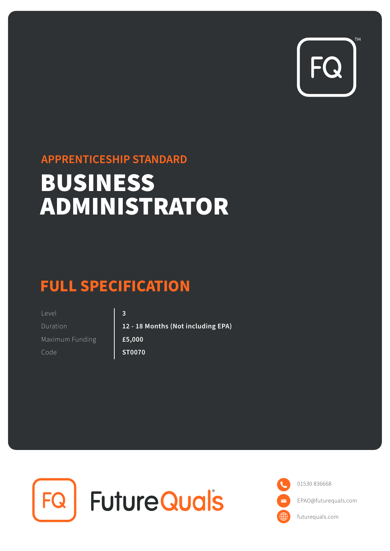

## **APPRENTICESHIP STANDARD**

# BUSINESS ADMINISTRATOR

# **FULL SPECIFICATION**

Duration Level Maximum Funding **12 - 18 Months (Not including EPA) 3 £5,000** Code **ST0070** 



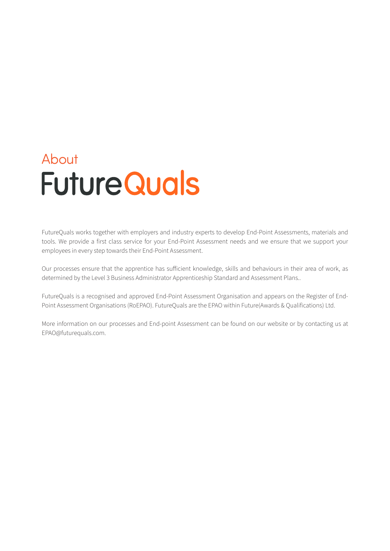# About **Future Quals**

FutureQuals works together with employers and industry experts to develop End-Point Assessments, materials and tools. We provide a first class service for your End-Point Assessment needs and we ensure that we support your employees in every step towards their End-Point Assessment.

Our processes ensure that the apprentice has sufficient knowledge, skills and behaviours in their area of work, as determined by the Level 3 Business Administrator Apprenticeship Standard and Assessment Plans..

FutureQuals is a recognised and approved End-Point Assessment Organisation and appears on the Register of End-Point Assessment Organisations (RoEPAO). FutureQuals are the EPAO within Future(Awards & Qualifications) Ltd.

More information on our processes and End-point Assessment can be found on our website or by contacting us at EPAO@futurequals.com.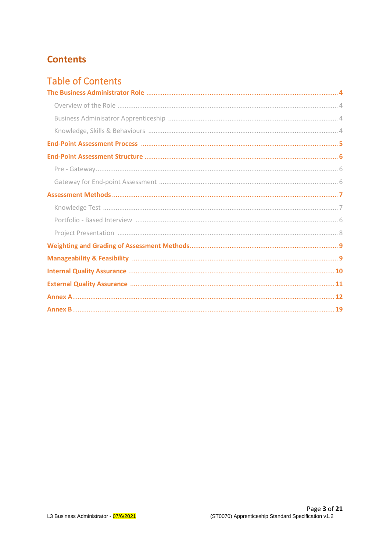## **Contents**

## **Table of Contents**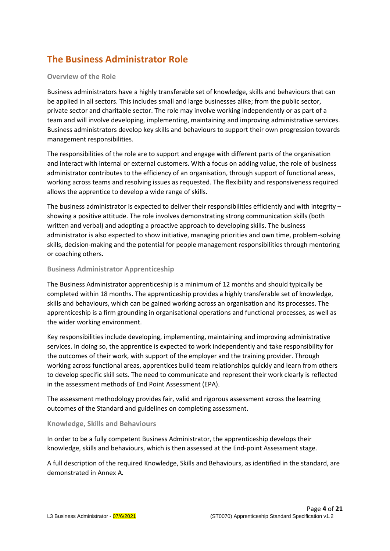## **The Business Administrator Role**

#### **Overview of the Role**

Business administrators have a highly transferable set of knowledge, skills and behaviours that can be applied in all sectors. This includes small and large businesses alike; from the public sector, private sector and charitable sector. The role may involve working independently or as part of a team and will involve developing, implementing, maintaining and improving administrative services. Business administrators develop key skills and behaviours to support their own progression towards management responsibilities.

The responsibilities of the role are to support and engage with different parts of the organisation and interact with internal or external customers. With a focus on adding value, the role of business administrator contributes to the efficiency of an organisation, through support of functional areas, working across teams and resolving issues as requested. The flexibility and responsiveness required allows the apprentice to develop a wide range of skills.

The business administrator is expected to deliver their responsibilities efficiently and with integrity – showing a positive attitude. The role involves demonstrating strong communication skills (both written and verbal) and adopting a proactive approach to developing skills. The business administrator is also expected to show initiative, managing priorities and own time, problem-solving skills, decision-making and the potential for people management responsibilities through mentoring or coaching others.

#### **Business Administrator Apprenticeship**

The Business Administrator apprenticeship is a minimum of 12 months and should typically be completed within 18 months. The apprenticeship provides a highly transferable set of knowledge, skills and behaviours, which can be gained working across an organisation and its processes. The apprenticeship is a firm grounding in organisational operations and functional processes, as well as the wider working environment.

Key responsibilities include developing, implementing, maintaining and improving administrative services. In doing so, the apprentice is expected to work independently and take responsibility for the outcomes of their work, with support of the employer and the training provider. Through working across functional areas, apprentices build team relationships quickly and learn from others to develop specific skill sets. The need to communicate and represent their work clearly is reflected in the assessment methods of End Point Assessment (EPA).

The assessment methodology provides fair, valid and rigorous assessment across the learning outcomes of the Standard and guidelines on completing assessment.

#### **Knowledge, Skills and Behaviours**

In order to be a fully competent Business Administrator, the apprenticeship develops their knowledge, skills and behaviours, which is then assessed at the End-point Assessment stage.

A full description of the required Knowledge, Skills and Behaviours, as identified in the standard, are demonstrated in Annex A*.*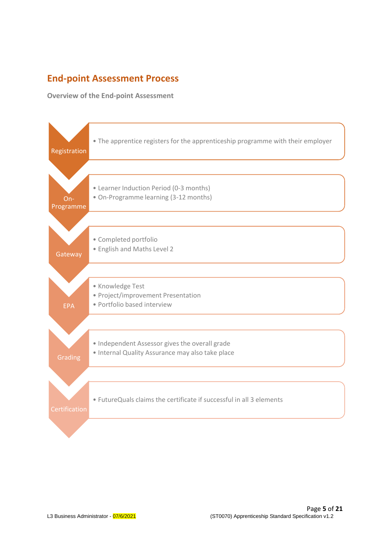## **End-point Assessment Process**

**Overview of the End-point Assessment**

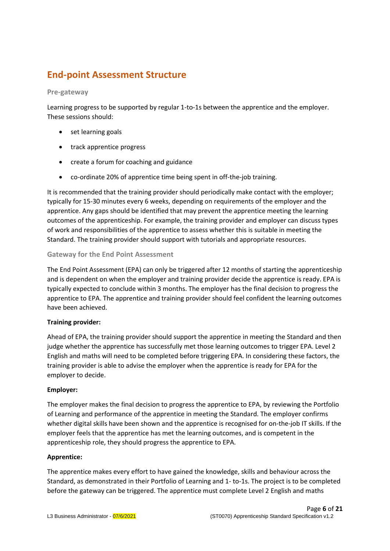## **End-point Assessment Structure**

#### **Pre-gateway**

Learning progress to be supported by regular 1-to-1s between the apprentice and the employer. These sessions should:

- set learning goals
- track apprentice progress
- create a forum for coaching and guidance
- co-ordinate 20% of apprentice time being spent in off-the-job training.

It is recommended that the training provider should periodically make contact with the employer; typically for 15-30 minutes every 6 weeks, depending on requirements of the employer and the apprentice. Any gaps should be identified that may prevent the apprentice meeting the learning outcomes of the apprenticeship. For example, the training provider and employer can discuss types of work and responsibilities of the apprentice to assess whether this is suitable in meeting the Standard. The training provider should support with tutorials and appropriate resources.

#### **Gateway for the End Point Assessment**

The End Point Assessment (EPA) can only be triggered after 12 months of starting the apprenticeship and is dependent on when the employer and training provider decide the apprentice is ready. EPA is typically expected to conclude within 3 months. The employer has the final decision to progress the apprentice to EPA. The apprentice and training provider should feel confident the learning outcomes have been achieved.

#### **Training provider:**

Ahead of EPA, the training provider should support the apprentice in meeting the Standard and then judge whether the apprentice has successfully met those learning outcomes to trigger EPA. Level 2 English and maths will need to be completed before triggering EPA. In considering these factors, the training provider is able to advise the employer when the apprentice is ready for EPA for the employer to decide.

#### **Employer:**

The employer makes the final decision to progress the apprentice to EPA, by reviewing the Portfolio of Learning and performance of the apprentice in meeting the Standard. The employer confirms whether digital skills have been shown and the apprentice is recognised for on-the-job IT skills. If the employer feels that the apprentice has met the learning outcomes, and is competent in the apprenticeship role, they should progress the apprentice to EPA.

#### **Apprentice:**

The apprentice makes every effort to have gained the knowledge, skills and behaviour across the Standard, as demonstrated in their Portfolio of Learning and 1- to-1s. The project is to be completed before the gateway can be triggered. The apprentice must complete Level 2 English and maths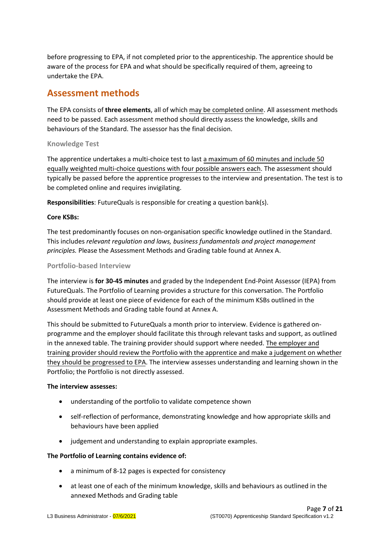before progressing to EPA, if not completed prior to the apprenticeship. The apprentice should be aware of the process for EPA and what should be specifically required of them, agreeing to undertake the EPA.

### **Assessment methods**

The EPA consists of **three elements**, all of which may be completed online. All assessment methods need to be passed. Each assessment method should directly assess the knowledge, skills and behaviours of the Standard. The assessor has the final decision.

#### **Knowledge Test**

The apprentice undertakes a multi-choice test to last a maximum of 60 minutes and include 50 equally weighted multi-choice questions with four possible answers each. The assessment should typically be passed before the apprentice progresses to the interview and presentation. The test is to be completed online and requires invigilating.

**Responsibilities**: FutureQuals is responsible for creating a question bank(s).

#### **Core KSBs:**

The test predominantly focuses on non-organisation specific knowledge outlined in the Standard. This includes *relevant regulation and laws, business fundamentals and project management principles.* Please the Assessment Methods and Grading table found at Annex A.

#### **Portfolio-based Interview**

The interview is **for 30-45 minutes** and graded by the Independent End-Point Assessor (IEPA) from FutureQuals. The Portfolio of Learning provides a structure for this conversation. The Portfolio should provide at least one piece of evidence for each of the minimum KSBs outlined in the Assessment Methods and Grading table found at Annex A.

This should be submitted to FutureQuals a month prior to interview. Evidence is gathered onprogramme and the employer should facilitate this through relevant tasks and support, as outlined in the annexed table. The training provider should support where needed. The employer and training provider should review the Portfolio with the apprentice and make a judgement on whether they should be progressed to EPA. The interview assesses understanding and learning shown in the Portfolio; the Portfolio is not directly assessed.

#### **The interview assesses:**

- understanding of the portfolio to validate competence shown
- self-reflection of performance, demonstrating knowledge and how appropriate skills and behaviours have been applied
- judgement and understanding to explain appropriate examples.

#### **The Portfolio of Learning contains evidence of:**

- a minimum of 8-12 pages is expected for consistency
- at least one of each of the minimum knowledge, skills and behaviours as outlined in the annexed Methods and Grading table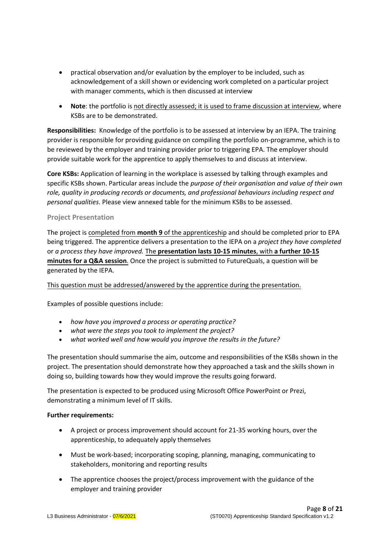- practical observation and/or evaluation by the employer to be included, such as acknowledgement of a skill shown or evidencing work completed on a particular project with manager comments, which is then discussed at interview
- **Note**: the portfolio is not directly assessed; it is used to frame discussion at interview, where KSBs are to be demonstrated.

**Responsibilities:** Knowledge of the portfolio is to be assessed at interview by an IEPA. The training provider is responsible for providing guidance on compiling the portfolio on-programme, which is to be reviewed by the employer and training provider prior to triggering EPA. The employer should provide suitable work for the apprentice to apply themselves to and discuss at interview.

**Core KSBs:** Application of learning in the workplace is assessed by talking through examples and specific KSBs shown. Particular areas include the *purpose of their organisation and value of their own role, quality in producing records or documents, and professional behaviours including respect and personal qualities*. Please view annexed table for the minimum KSBs to be assessed.

#### **Project Presentation**

The project is completed from **month 9** of the apprenticeship and should be completed prior to EPA being triggered. The apprentice delivers a presentation to the IEPA on a *project they have completed*  or *a process they have improved.* The **presentation lasts 10-15 minutes**, with **a further 10-15 minutes for a Q&A session**. Once the project is submitted to FutureQuals, a question will be generated by the IEPA.

#### This question must be addressed/answered by the apprentice during the presentation.

Examples of possible questions include:

- *how have you improved a process or operating practice?*
- *what were the steps you took to implement the project?*
- *what worked well and how would you improve the results in the future?*

The presentation should summarise the aim, outcome and responsibilities of the KSBs shown in the project. The presentation should demonstrate how they approached a task and the skills shown in doing so, building towards how they would improve the results going forward.

The presentation is expected to be produced using Microsoft Office PowerPoint or Prezi, demonstrating a minimum level of IT skills.

#### **Further requirements:**

- A project or process improvement should account for 21-35 working hours, over the apprenticeship, to adequately apply themselves
- Must be work-based; incorporating scoping, planning, managing, communicating to stakeholders, monitoring and reporting results
- The apprentice chooses the project/process improvement with the guidance of the employer and training provider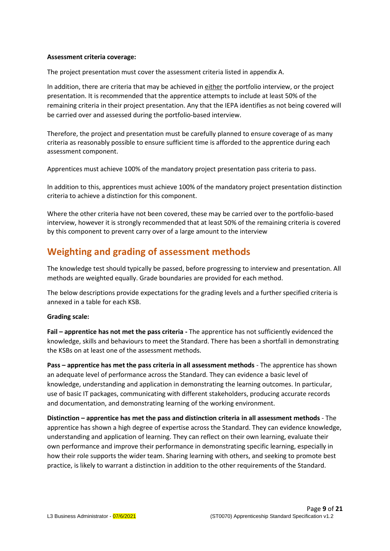#### **Assessment criteria coverage:**

The project presentation must cover the assessment criteria listed in appendix A.

In addition, there are criteria that may be achieved in either the portfolio interview, or the project presentation. It is recommended that the apprentice attempts to include at least 50% of the remaining criteria in their project presentation. Any that the IEPA identifies as not being covered will be carried over and assessed during the portfolio-based interview.

Therefore, the project and presentation must be carefully planned to ensure coverage of as many criteria as reasonably possible to ensure sufficient time is afforded to the apprentice during each assessment component.

Apprentices must achieve 100% of the mandatory project presentation pass criteria to pass.

In addition to this, apprentices must achieve 100% of the mandatory project presentation distinction criteria to achieve a distinction for this component.

Where the other criteria have not been covered, these may be carried over to the portfolio-based interview, however it is strongly recommended that at least 50% of the remaining criteria is covered by this component to prevent carry over of a large amount to the interview

## **Weighting and grading of assessment methods**

The knowledge test should typically be passed, before progressing to interview and presentation. All methods are weighted equally. Grade boundaries are provided for each method.

The below descriptions provide expectations for the grading levels and a further specified criteria is annexed in a table for each KSB.

#### **Grading scale:**

**Fail – apprentice has not met the pass criteria -** The apprentice has not sufficiently evidenced the knowledge, skills and behaviours to meet the Standard. There has been a shortfall in demonstrating the KSBs on at least one of the assessment methods.

**Pass – apprentice has met the pass criteria in all assessment methods** - The apprentice has shown an adequate level of performance across the Standard. They can evidence a basic level of knowledge, understanding and application in demonstrating the learning outcomes. In particular, use of basic IT packages, communicating with different stakeholders, producing accurate records and documentation, and demonstrating learning of the working environment.

**Distinction – apprentice has met the pass and distinction criteria in all assessment methods** - The apprentice has shown a high degree of expertise across the Standard. They can evidence knowledge, understanding and application of learning. They can reflect on their own learning, evaluate their own performance and improve their performance in demonstrating specific learning, especially in how their role supports the wider team. Sharing learning with others, and seeking to promote best practice, is likely to warrant a distinction in addition to the other requirements of the Standard.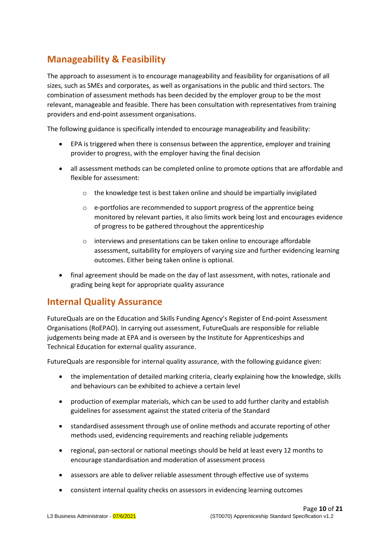## **Manageability & Feasibility**

The approach to assessment is to encourage manageability and feasibility for organisations of all sizes, such as SMEs and corporates, as well as organisations in the public and third sectors. The combination of assessment methods has been decided by the employer group to be the most relevant, manageable and feasible. There has been consultation with representatives from training providers and end-point assessment organisations.

The following guidance is specifically intended to encourage manageability and feasibility:

- EPA is triggered when there is consensus between the apprentice, employer and training provider to progress, with the employer having the final decision
- all assessment methods can be completed online to promote options that are affordable and flexible for assessment:
	- o the knowledge test is best taken online and should be impartially invigilated
	- o e-portfolios are recommended to support progress of the apprentice being monitored by relevant parties, it also limits work being lost and encourages evidence of progress to be gathered throughout the apprenticeship
	- o interviews and presentations can be taken online to encourage affordable assessment, suitability for employers of varying size and further evidencing learning outcomes. Either being taken online is optional.
- final agreement should be made on the day of last assessment, with notes, rationale and grading being kept for appropriate quality assurance

## **Internal Quality Assurance**

FutureQuals are on the Education and Skills Funding Agency's Register of End-point Assessment Organisations (RoEPAO). In carrying out assessment, FutureQuals are responsible for reliable judgements being made at EPA and is overseen by the Institute for Apprenticeships and Technical Education for external quality assurance.

FutureQuals are responsible for internal quality assurance, with the following guidance given:

- the implementation of detailed marking criteria, clearly explaining how the knowledge, skills and behaviours can be exhibited to achieve a certain level
- production of exemplar materials, which can be used to add further clarity and establish guidelines for assessment against the stated criteria of the Standard
- standardised assessment through use of online methods and accurate reporting of other methods used, evidencing requirements and reaching reliable judgements
- regional, pan-sectoral or national meetings should be held at least every 12 months to encourage standardisation and moderation of assessment process
- assessors are able to deliver reliable assessment through effective use of systems
- consistent internal quality checks on assessors in evidencing learning outcomes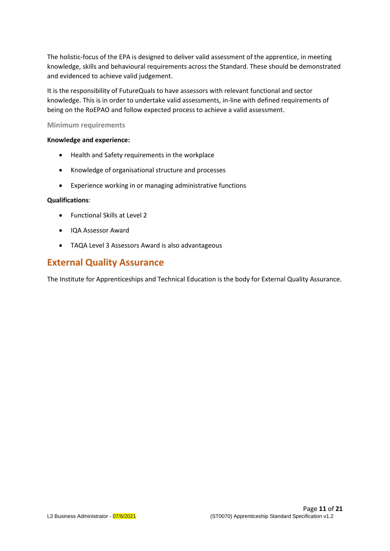The holistic-focus of the EPA is designed to deliver valid assessment of the apprentice, in meeting knowledge, skills and behavioural requirements across the Standard. These should be demonstrated and evidenced to achieve valid judgement.

It is the responsibility of FutureQuals to have assessors with relevant functional and sector knowledge. This is in order to undertake valid assessments, in-line with defined requirements of being on the RoEPAO and follow expected process to achieve a valid assessment.

#### **Minimum requirements**

#### **Knowledge and experience:**

- Health and Safety requirements in the workplace
- Knowledge of organisational structure and processes
- Experience working in or managing administrative functions

#### **Qualifications**:

- Functional Skills at Level 2
- IQA Assessor Award
- TAQA Level 3 Assessors Award is also advantageous

### **External Quality Assurance**

The Institute for Apprenticeships and Technical Education is the body for External Quality Assurance.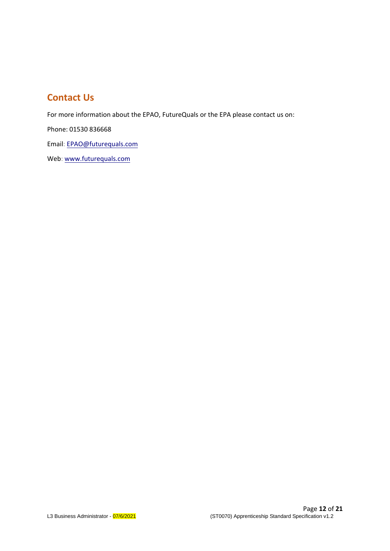## **Contact Us**

For more information about the EPAO, FutureQuals or the EPA please contact us on:

Phone: 01530 836668

Email: EPAO@[futurequals](mailto:EPAO@futureassess.com).com

Web: www.[futurequals](http://www.futureassess.com/).com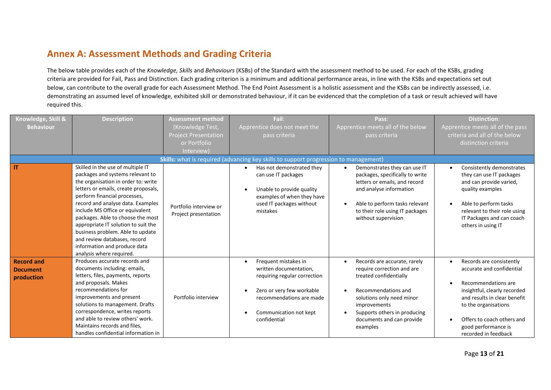## **Annex A: Assessment Methods and Grading Criteria**

The below table provides each of the *Knowledge, Skills* and *Behaviours* (KSBs) of the Standard with the assessment method to be used. For each of the KSBs, grading criteria are provided for Fail, Pass and Distinction. Each grading criterion is a minimum and additional performance areas, in line with the KSBs and expectations set out below, can contribute to the overall grade for each Assessment Method. The End Point Assessment is a holistic assessment and the KSBs can be indirectly assessed, i.e. demonstrating an assumed level of knowledge, exhibited skill or demonstrated behaviour, if it can be evidenced that the completion of a task or result achieved will have required this.

| Knowledge, Skill &                                 | <b>Description</b>                                                                                                                                                                                                                                                                                                                                                                                                                                                       | Assessment method                              | Fail:                                                                                                                                                                             | Pass:                                                                                                                                                                                                                             | <b>Distinction:</b>                                                                                                                                                                                                                               |
|----------------------------------------------------|--------------------------------------------------------------------------------------------------------------------------------------------------------------------------------------------------------------------------------------------------------------------------------------------------------------------------------------------------------------------------------------------------------------------------------------------------------------------------|------------------------------------------------|-----------------------------------------------------------------------------------------------------------------------------------------------------------------------------------|-----------------------------------------------------------------------------------------------------------------------------------------------------------------------------------------------------------------------------------|---------------------------------------------------------------------------------------------------------------------------------------------------------------------------------------------------------------------------------------------------|
| <b>Behaviour</b>                                   |                                                                                                                                                                                                                                                                                                                                                                                                                                                                          | (Knowledge Test,                               | Apprentice does not meet the                                                                                                                                                      | Apprentice meets all of the below                                                                                                                                                                                                 | Apprentice meets all of the pass                                                                                                                                                                                                                  |
|                                                    |                                                                                                                                                                                                                                                                                                                                                                                                                                                                          | <b>Project Presentation</b>                    | pass criteria                                                                                                                                                                     | pass criteria                                                                                                                                                                                                                     | criteria and all of the below                                                                                                                                                                                                                     |
|                                                    |                                                                                                                                                                                                                                                                                                                                                                                                                                                                          | or Portfolio                                   |                                                                                                                                                                                   |                                                                                                                                                                                                                                   | distinction criteria                                                                                                                                                                                                                              |
|                                                    |                                                                                                                                                                                                                                                                                                                                                                                                                                                                          | Interview)                                     |                                                                                                                                                                                   |                                                                                                                                                                                                                                   |                                                                                                                                                                                                                                                   |
|                                                    |                                                                                                                                                                                                                                                                                                                                                                                                                                                                          |                                                | Skills: what is required (advancing key skills to support progression to management)                                                                                              |                                                                                                                                                                                                                                   |                                                                                                                                                                                                                                                   |
| $\mathsf{I}$                                       | Skilled in the use of multiple IT<br>packages and systems relevant to<br>the organisation in order to: write<br>letters or emails, create proposals,<br>perform financial processes,<br>record and analyse data. Examples<br>include MS Office or equivalent<br>packages. Able to choose the most<br>appropriate IT solution to suit the<br>business problem. Able to update<br>and review databases, record<br>information and produce data<br>analysis where required. | Portfolio interview or<br>Project presentation | Has not demonstrated they<br>can use IT packages<br>Unable to provide quality<br>examples of when they have<br>used IT packages without<br>mistakes                               | Demonstrates they can use IT<br>packages, specifically to write<br>letters or emails, and record<br>and analyse information<br>Able to perform tasks relevant<br>to their role using IT packages<br>without supervision           | Consistently demonstrates<br>they can use IT packages<br>and can provide varied,<br>quality examples<br>Able to perform tasks<br>relevant to their role using<br>IT Packages and can coach<br>others in using IT                                  |
| <b>Record and</b><br><b>Document</b><br>production | Produces accurate records and<br>documents including: emails,<br>letters, files, payments, reports<br>and proposals. Makes<br>recommendations for<br>improvements and present<br>solutions to management. Drafts<br>correspondence, writes reports<br>and able to review others' work.<br>Maintains records and files,<br>handles confidential information in                                                                                                            | Portfolio interview                            | Frequent mistakes in<br>written documentation,<br>requiring regular correction<br>Zero or very few workable<br>recommendations are made<br>Communication not kept<br>confidential | Records are accurate, rarely<br>require correction and are<br>treated confidentially<br>Recommendations and<br>solutions only need minor<br>improvements<br>Supports others in producing<br>documents and can provide<br>examples | Records are consistently<br>accurate and confidential<br>Recommendations are<br>insightful, clearly recorded<br>and results in clear benefit<br>to the organisations<br>Offers to coach others and<br>good performance is<br>recorded in feedback |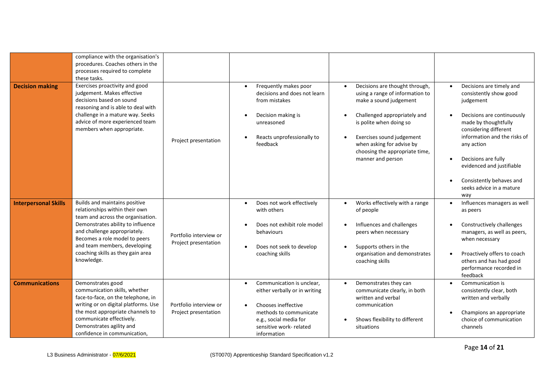|                             | compliance with the organisation's<br>procedures. Coaches others in the<br>processes required to complete<br>these tasks.                                                                                                                                                                     |                                                |                                                                                                                                                                                             |                                                                                                                                                                                                                                                                         |                                                                                                                                                                                                                                                                                                                                                                     |
|-----------------------------|-----------------------------------------------------------------------------------------------------------------------------------------------------------------------------------------------------------------------------------------------------------------------------------------------|------------------------------------------------|---------------------------------------------------------------------------------------------------------------------------------------------------------------------------------------------|-------------------------------------------------------------------------------------------------------------------------------------------------------------------------------------------------------------------------------------------------------------------------|---------------------------------------------------------------------------------------------------------------------------------------------------------------------------------------------------------------------------------------------------------------------------------------------------------------------------------------------------------------------|
| <b>Decision making</b>      | Exercises proactivity and good<br>judgement. Makes effective<br>decisions based on sound<br>reasoning and is able to deal with<br>challenge in a mature way. Seeks<br>advice of more experienced team<br>members when appropriate.                                                            | Project presentation                           | Frequently makes poor<br>$\bullet$<br>decisions and does not learn<br>from mistakes<br>Decision making is<br>unreasoned<br>Reacts unprofessionally to<br>feedback                           | Decisions are thought through,<br>using a range of information to<br>make a sound judgement<br>Challenged appropriately and<br>is polite when doing so<br>Exercises sound judgement<br>when asking for advise by<br>choosing the appropriate time,<br>manner and person | Decisions are timely and<br>$\bullet$<br>consistently show good<br>judgement<br>Decisions are continuously<br>$\bullet$<br>made by thoughtfully<br>considering different<br>information and the risks of<br>any action<br>Decisions are fully<br>$\bullet$<br>evidenced and justifiable<br>Consistently behaves and<br>$\bullet$<br>seeks advice in a mature<br>way |
| <b>Interpersonal Skills</b> | Builds and maintains positive<br>relationships within their own<br>team and across the organisation.<br>Demonstrates ability to influence<br>and challenge appropriately.<br>Becomes a role model to peers<br>and team members, developing<br>coaching skills as they gain area<br>knowledge. | Portfolio interview or<br>Project presentation | Does not work effectively<br>$\bullet$<br>with others<br>Does not exhibit role model<br>behaviours<br>Does not seek to develop<br>coaching skills                                           | Works effectively with a range<br>$\bullet$<br>of people<br>Influences and challenges<br>$\bullet$<br>peers when necessary<br>Supports others in the<br>organisation and demonstrates<br>coaching skills                                                                | Influences managers as well<br>$\bullet$<br>as peers<br>Constructively challenges<br>$\bullet$<br>managers, as well as peers,<br>when necessary<br>Proactively offers to coach<br>$\bullet$<br>others and has had good<br>performance recorded in<br>feedback                                                                                                       |
| <b>Communications</b>       | Demonstrates good<br>communication skills, whether<br>face-to-face, on the telephone, in<br>writing or on digital platforms. Use<br>the most appropriate channels to<br>communicate effectively.<br>Demonstrates agility and<br>confidence in communication,                                  | Portfolio interview or<br>Project presentation | Communication is unclear,<br>$\bullet$<br>either verbally or in writing<br>Chooses ineffective<br>methods to communicate<br>e.g., social media for<br>sensitive work-related<br>information | Demonstrates they can<br>communicate clearly, in both<br>written and verbal<br>communication<br>Shows flexibility to different<br>situations                                                                                                                            | Communication is<br>$\bullet$<br>consistently clear, both<br>written and verbally<br>Champions an appropriate<br>$\bullet$<br>choice of communication<br>channels                                                                                                                                                                                                   |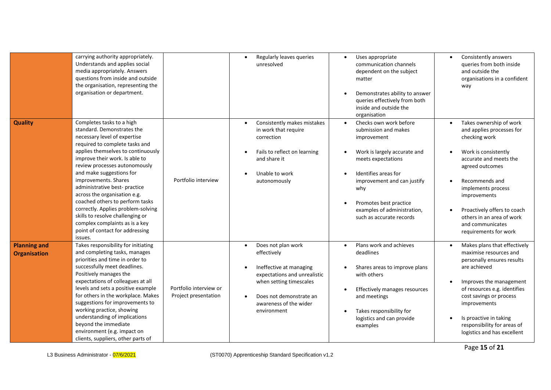|                                            | carrying authority appropriately.<br>Understands and applies social<br>media appropriately. Answers<br>questions from inside and outside<br>the organisation, representing the<br>organisation or department.                                                                                                                                                                                                                                                                                                                                       |                                                | Regularly leaves queries<br>$\bullet$<br>unresolved                                                                                                                                                      | Uses appropriate<br>communication channels<br>dependent on the subject<br>matter<br>Demonstrates ability to answer<br>queries effectively from both<br>inside and outside the<br>organisation                                                                          | Consistently answers<br>$\bullet$<br>queries from both inside<br>and outside the<br>organisations in a confident<br>way                                                                                                                                                                                     |
|--------------------------------------------|-----------------------------------------------------------------------------------------------------------------------------------------------------------------------------------------------------------------------------------------------------------------------------------------------------------------------------------------------------------------------------------------------------------------------------------------------------------------------------------------------------------------------------------------------------|------------------------------------------------|----------------------------------------------------------------------------------------------------------------------------------------------------------------------------------------------------------|------------------------------------------------------------------------------------------------------------------------------------------------------------------------------------------------------------------------------------------------------------------------|-------------------------------------------------------------------------------------------------------------------------------------------------------------------------------------------------------------------------------------------------------------------------------------------------------------|
| <b>Quality</b>                             | Completes tasks to a high<br>standard. Demonstrates the<br>necessary level of expertise<br>required to complete tasks and<br>applies themselves to continuously<br>improve their work. Is able to<br>review processes autonomously<br>and make suggestions for<br>improvements. Shares<br>administrative best-practice<br>across the organisation e.g.<br>coached others to perform tasks<br>correctly. Applies problem-solving<br>skills to resolve challenging or<br>complex complaints as is a key<br>point of contact for addressing<br>issues. | Portfolio interview                            | Consistently makes mistakes<br>$\bullet$<br>in work that require<br>correction<br>Fails to reflect on learning<br>$\bullet$<br>and share it<br>Unable to work<br>autonomously                            | Checks own work before<br>submission and makes<br>improvement<br>Work is largely accurate and<br>meets expectations<br>Identifies areas for<br>improvement and can justify<br>why<br>Promotes best practice<br>examples of administration,<br>such as accurate records | Takes ownership of work<br>and applies processes for<br>checking work<br>Work is consistently<br>accurate and meets the<br>agreed outcomes<br>Recommends and<br>implements process<br>improvements<br>Proactively offers to coach<br>others in an area of work<br>and communicates<br>requirements for work |
| <b>Planning and</b><br><b>Organisation</b> | Takes responsibility for initiating<br>and completing tasks, manages<br>priorities and time in order to<br>successfully meet deadlines.<br>Positively manages the<br>expectations of colleagues at all<br>levels and sets a positive example<br>for others in the workplace. Makes<br>suggestions for improvements to<br>working practice, showing<br>understanding of implications<br>beyond the immediate<br>environment (e.g. impact on<br>clients, suppliers, other parts of                                                                    | Portfolio interview or<br>Project presentation | Does not plan work<br>$\bullet$<br>effectively<br>Ineffective at managing<br>expectations and unrealistic<br>when setting timescales<br>Does not demonstrate an<br>awareness of the wider<br>environment | Plans work and achieves<br>$\bullet$<br>deadlines<br>Shares areas to improve plans<br>with others<br>Effectively manages resources<br>and meetings<br>Takes responsibility for<br>logistics and can provide<br>examples                                                | Makes plans that effectively<br>maximise resources and<br>personally ensures results<br>are achieved<br>Improves the management<br>of resources e.g. identifies<br>cost savings or process<br>improvements<br>Is proactive in taking<br>responsibility for areas of<br>logistics and has excellent          |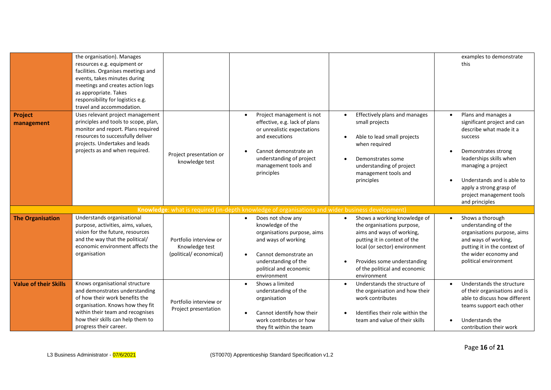|                              | the organisation). Manages<br>resources e.g. equipment or<br>facilities. Organises meetings and<br>events, takes minutes during<br>meetings and creates action logs<br>as appropriate. Takes<br>responsibility for logistics e.g.<br>travel and accommodation. |                                                                    |                                                                                                                                                                                                                     |                                                                                                                                                                                                                                                      | examples to demonstrate<br>this                                                                                                                                                                                                                                         |
|------------------------------|----------------------------------------------------------------------------------------------------------------------------------------------------------------------------------------------------------------------------------------------------------------|--------------------------------------------------------------------|---------------------------------------------------------------------------------------------------------------------------------------------------------------------------------------------------------------------|------------------------------------------------------------------------------------------------------------------------------------------------------------------------------------------------------------------------------------------------------|-------------------------------------------------------------------------------------------------------------------------------------------------------------------------------------------------------------------------------------------------------------------------|
| <b>Project</b><br>management | Uses relevant project management<br>principles and tools to scope, plan,<br>monitor and report. Plans required<br>resources to successfully deliver<br>projects. Undertakes and leads<br>projects as and when required.                                        | Project presentation or<br>knowledge test                          | Project management is not<br>$\bullet$<br>effective, e.g. lack of plans<br>or unrealistic expectations<br>and executions<br>Cannot demonstrate an<br>understanding of project<br>management tools and<br>principles | Effectively plans and manages<br>small projects<br>Able to lead small projects<br>when required<br>Demonstrates some<br>understanding of project<br>management tools and<br>principles                                                               | Plans and manages a<br>significant project and can<br>describe what made it a<br>success<br>Demonstrates strong<br>leaderships skills when<br>managing a project<br>Understands and is able to<br>apply a strong grasp of<br>project management tools<br>and principles |
|                              |                                                                                                                                                                                                                                                                |                                                                    | Knowledge: what is required (in-depth knowledge of organisations and wider business development)                                                                                                                    |                                                                                                                                                                                                                                                      |                                                                                                                                                                                                                                                                         |
| <b>The Organisation</b>      | Understands organisational<br>purpose, activities, aims, values,<br>vision for the future, resources<br>and the way that the political/<br>economic environment affects the<br>organisation                                                                    | Portfolio interview or<br>Knowledge test<br>(political/economical) | Does not show any<br>$\bullet$<br>knowledge of the<br>organisations purpose, aims<br>and ways of working<br>Cannot demonstrate an<br>understanding of the<br>political and economic<br>environment                  | Shows a working knowledge of<br>$\bullet$<br>the organisations purpose,<br>aims and ways of working,<br>putting it in context of the<br>local (or sector) environment<br>Provides some understanding<br>of the political and economic<br>environment | Shows a thorough<br>understanding of the<br>organisations purpose, aims<br>and ways of working,<br>putting it in the context of<br>the wider economy and<br>political environment                                                                                       |
| <b>Value of their Skills</b> | Knows organisational structure<br>and demonstrates understanding<br>of how their work benefits the<br>organisation. Knows how they fit<br>within their team and recognises<br>how their skills can help them to<br>progress their career.                      | Portfolio interview or<br>Project presentation                     | Shows a limited<br>$\bullet$<br>understanding of the<br>organisation<br>Cannot identify how their<br>$\bullet$<br>work contributes or how<br>they fit within the team                                               | Understands the structure of<br>the organisation and how their<br>work contributes<br>Identifies their role within the<br>team and value of their skills                                                                                             | Understands the structure<br>of their organisations and is<br>able to discuss how different<br>teams support each other<br>Understands the<br>contribution their work                                                                                                   |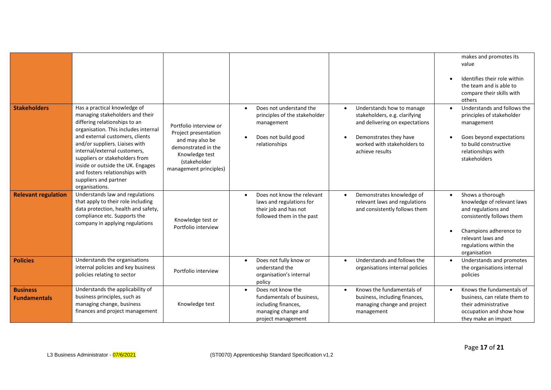|                                        |                                                                                                                                                                                                                                                                                                                                                                                                   |                                                                                                                                                      |                                                                                                                                          |                                                                                                                                                                          | makes and promotes its<br>value<br>Identifies their role within<br>the team and is able to<br>compare their skills with<br>others                                                           |
|----------------------------------------|---------------------------------------------------------------------------------------------------------------------------------------------------------------------------------------------------------------------------------------------------------------------------------------------------------------------------------------------------------------------------------------------------|------------------------------------------------------------------------------------------------------------------------------------------------------|------------------------------------------------------------------------------------------------------------------------------------------|--------------------------------------------------------------------------------------------------------------------------------------------------------------------------|---------------------------------------------------------------------------------------------------------------------------------------------------------------------------------------------|
| <b>Stakeholders</b>                    | Has a practical knowledge of<br>managing stakeholders and their<br>differing relationships to an<br>organisation. This includes internal<br>and external customers, clients<br>and/or suppliers. Liaises with<br>internal/external customers,<br>suppliers or stakeholders from<br>inside or outside the UK. Engages<br>and fosters relationships with<br>suppliers and partner<br>organisations. | Portfolio interview or<br>Project presentation<br>and may also be<br>demonstrated in the<br>Knowledge test<br>(stakeholder<br>management principles) | Does not understand the<br>$\bullet$<br>principles of the stakeholder<br>management<br>Does not build good<br>$\bullet$<br>relationships | Understands how to manage<br>stakeholders, e.g. clarifying<br>and delivering on expectations<br>Demonstrates they have<br>worked with stakeholders to<br>achieve results | Understands and follows the<br>principles of stakeholder<br>management<br>Goes beyond expectations<br>to build constructive<br>relationships with<br>stakeholders                           |
| <b>Relevant regulation</b>             | Understands law and regulations<br>that apply to their role including<br>data protection, health and safety,<br>compliance etc. Supports the<br>company in applying regulations                                                                                                                                                                                                                   | Knowledge test or<br>Portfolio interview                                                                                                             | Does not know the relevant<br>$\bullet$<br>laws and regulations for<br>their job and has not<br>followed them in the past                | Demonstrates knowledge of<br>relevant laws and regulations<br>and consistently follows them                                                                              | Shows a thorough<br>knowledge of relevant laws<br>and regulations and<br>consistently follows them<br>Champions adherence to<br>relevant laws and<br>regulations within the<br>organisation |
| <b>Policies</b>                        | Understands the organisations<br>internal policies and key business<br>policies relating to sector                                                                                                                                                                                                                                                                                                | Portfolio interview                                                                                                                                  | Does not fully know or<br>$\bullet$<br>understand the<br>organisation's internal<br>policy                                               | Understands and follows the<br>organisations internal policies                                                                                                           | Understands and promotes<br>the organisations internal<br>policies                                                                                                                          |
| <b>Business</b><br><b>Fundamentals</b> | Understands the applicability of<br>business principles, such as<br>managing change, business<br>finances and project management                                                                                                                                                                                                                                                                  | Knowledge test                                                                                                                                       | Does not know the<br>$\bullet$<br>fundamentals of business,<br>including finances,<br>managing change and<br>project management          | Knows the fundamentals of<br>business, including finances,<br>managing change and project<br>management                                                                  | Knows the fundamentals of<br>business, can relate them to<br>their administrative<br>occupation and show how<br>they make an impact                                                         |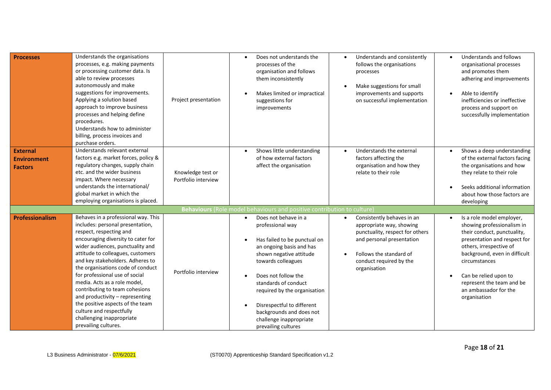| <b>Processes</b>                                        | Understands the organisations<br>processes, e.g. making payments<br>or processing customer data. Is<br>able to review processes<br>autonomously and make<br>suggestions for improvements.<br>Applying a solution based<br>approach to improve business<br>processes and helping define<br>procedures.<br>Understands how to administer<br>billing, process invoices and<br>purchase orders.                                                                                                                                                            | Project presentation                     | Does not understands the<br>processes of the<br>organisation and follows<br>them inconsistently<br>Makes limited or impractical<br>suggestions for<br>improvements                                                                                                                                                                                            | Understands and consistently<br>follows the organisations<br>processes<br>Make suggestions for small<br>improvements and supports<br>on successful implementation                            | Understands and follows<br>organisational processes<br>and promotes them<br>adhering and improvements<br>Able to identify<br>inefficiencies or ineffective<br>process and support on<br>successfully implementation                                                                                |
|---------------------------------------------------------|--------------------------------------------------------------------------------------------------------------------------------------------------------------------------------------------------------------------------------------------------------------------------------------------------------------------------------------------------------------------------------------------------------------------------------------------------------------------------------------------------------------------------------------------------------|------------------------------------------|---------------------------------------------------------------------------------------------------------------------------------------------------------------------------------------------------------------------------------------------------------------------------------------------------------------------------------------------------------------|----------------------------------------------------------------------------------------------------------------------------------------------------------------------------------------------|----------------------------------------------------------------------------------------------------------------------------------------------------------------------------------------------------------------------------------------------------------------------------------------------------|
| <b>External</b><br><b>Environment</b><br><b>Factors</b> | Understands relevant external<br>factors e.g. market forces, policy &<br>regulatory changes, supply chain<br>etc. and the wider business<br>impact. Where necessary<br>understands the international/<br>global market in which the<br>employing organisations is placed.                                                                                                                                                                                                                                                                              | Knowledge test or<br>Portfolio interview | Shows little understanding<br>$\bullet$<br>of how external factors<br>affect the organisation                                                                                                                                                                                                                                                                 | Understands the external<br>factors affecting the<br>organisation and how they<br>relate to their role                                                                                       | Shows a deep understanding<br>of the external factors facing<br>the organisations and how<br>they relate to their role<br>Seeks additional information<br>about how those factors are<br>developing                                                                                                |
|                                                         |                                                                                                                                                                                                                                                                                                                                                                                                                                                                                                                                                        |                                          | Behaviours (Role model behaviours and positive contribution to culture)                                                                                                                                                                                                                                                                                       |                                                                                                                                                                                              |                                                                                                                                                                                                                                                                                                    |
| Professionalism                                         | Behaves in a professional way. This<br>includes: personal presentation,<br>respect, respecting and<br>encouraging diversity to cater for<br>wider audiences, punctuality and<br>attitude to colleagues, customers<br>and key stakeholders. Adheres to<br>the organisations code of conduct<br>for professional use of social<br>media. Acts as a role model,<br>contributing to team cohesions<br>and productivity - representing<br>the positive aspects of the team<br>culture and respectfully<br>challenging inappropriate<br>prevailing cultures. | Portfolio interview                      | Does not behave in a<br>$\bullet$<br>professional way<br>Has failed to be punctual on<br>an ongoing basis and has<br>shown negative attitude<br>towards colleagues<br>Does not follow the<br>standards of conduct<br>required by the organisation<br>Disrespectful to different<br>backgrounds and does not<br>challenge inappropriate<br>prevailing cultures | Consistently behaves in an<br>appropriate way, showing<br>punctuality, respect for others<br>and personal presentation<br>Follows the standard of<br>conduct required by the<br>organisation | Is a role model employer,<br>showing professionalism in<br>their conduct, punctuality,<br>presentation and respect for<br>others, irrespective of<br>background, even in difficult<br>circumstances<br>Can be relied upon to<br>represent the team and be<br>an ambassador for the<br>organisation |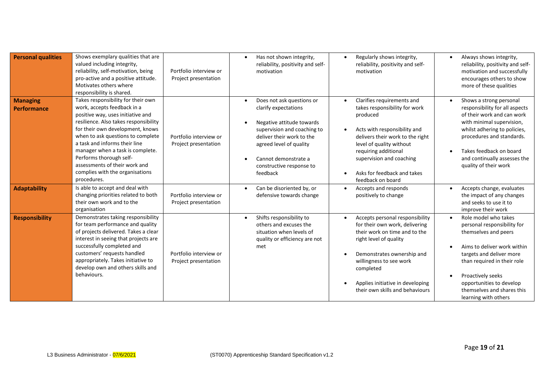| <b>Personal qualities</b>             | Shows exemplary qualities that are<br>valued including integrity,<br>reliability, self-motivation, being<br>pro-active and a positive attitude.<br>Motivates others where<br>responsibility is shared.                                                                                                                                                                                                      | Portfolio interview or<br>Project presentation | Has not shown integrity,<br>$\bullet$<br>reliability, positivity and self-<br>motivation                                                                                                                                                           | Regularly shows integrity,<br>reliability, positivity and self-<br>motivation                                                                                                                                                                                                                | Always shows integrity,<br>reliability, positivity and self-<br>motivation and successfully<br>encourages others to show<br>more of these qualities                                                                                                                          |
|---------------------------------------|-------------------------------------------------------------------------------------------------------------------------------------------------------------------------------------------------------------------------------------------------------------------------------------------------------------------------------------------------------------------------------------------------------------|------------------------------------------------|----------------------------------------------------------------------------------------------------------------------------------------------------------------------------------------------------------------------------------------------------|----------------------------------------------------------------------------------------------------------------------------------------------------------------------------------------------------------------------------------------------------------------------------------------------|------------------------------------------------------------------------------------------------------------------------------------------------------------------------------------------------------------------------------------------------------------------------------|
| <b>Managing</b><br><b>Performance</b> | Takes responsibility for their own<br>work, accepts feedback in a<br>positive way, uses initiative and<br>resilience. Also takes responsibility<br>for their own development, knows<br>when to ask questions to complete<br>a task and informs their line<br>manager when a task is complete.<br>Performs thorough self-<br>assessments of their work and<br>complies with the organisations<br>procedures. | Portfolio interview or<br>Project presentation | Does not ask questions or<br>$\bullet$<br>clarify expectations<br>Negative attitude towards<br>supervision and coaching to<br>deliver their work to the<br>agreed level of quality<br>Cannot demonstrate a<br>constructive response to<br>feedback | Clarifies requirements and<br>$\bullet$<br>takes responsibility for work<br>produced<br>Acts with responsibility and<br>delivers their work to the right<br>level of quality without<br>requiring additional<br>supervision and coaching<br>Asks for feedback and takes<br>feedback on board | Shows a strong personal<br>responsibility for all aspects<br>of their work and can work<br>with minimal supervision,<br>whilst adhering to policies,<br>procedures and standards.<br>Takes feedback on board<br>and continually assesses the<br>quality of their work        |
| <b>Adaptability</b>                   | Is able to accept and deal with<br>changing priorities related to both<br>their own work and to the<br>organisation                                                                                                                                                                                                                                                                                         | Portfolio interview or<br>Project presentation | Can be disoriented by, or<br>$\bullet$<br>defensive towards change                                                                                                                                                                                 | Accepts and responds<br>positively to change                                                                                                                                                                                                                                                 | Accepts change, evaluates<br>the impact of any changes<br>and seeks to use it to<br>improve their work                                                                                                                                                                       |
| <b>Responsibility</b>                 | Demonstrates taking responsibility<br>for team performance and quality<br>of projects delivered. Takes a clear<br>interest in seeing that projects are<br>successfully completed and<br>customers' requests handled<br>appropriately. Takes initiative to<br>develop own and others skills and<br>behaviours.                                                                                               | Portfolio interview or<br>Project presentation | Shifts responsibility to<br>$\bullet$<br>others and excuses the<br>situation when levels of<br>quality or efficiency are not<br>met                                                                                                                | Accepts personal responsibility<br>$\bullet$<br>for their own work, delivering<br>their work on time and to the<br>right level of quality<br>Demonstrates ownership and<br>willingness to see work<br>completed<br>Applies initiative in developing<br>their own skills and behaviours       | Role model who takes<br>personal responsibility for<br>themselves and peers<br>Aims to deliver work within<br>targets and deliver more<br>than required in their role<br>Proactively seeks<br>opportunities to develop<br>themselves and shares this<br>learning with others |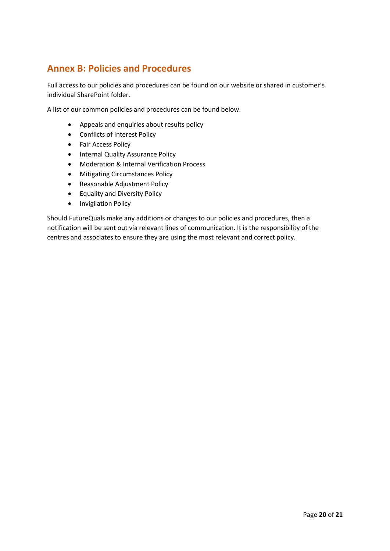## **Annex B: Policies and Procedures**

Full access to our policies and procedures can be found on our website or shared in customer's individual SharePoint folder.

A list of our common policies and procedures can be found below.

- Appeals and enquiries about results policy
- Conflicts of Interest Policy
- Fair Access Policy
- Internal Quality Assurance Policy
- Moderation & Internal Verification Process
- Mitigating Circumstances Policy
- Reasonable Adjustment Policy
- Equality and Diversity Policy
- Invigilation Policy

Should FutureQuals make any additions or changes to our policies and procedures, then a notification will be sent out via relevant lines of communication. It is the responsibility of the centres and associates to ensure they are using the most relevant and correct policy.